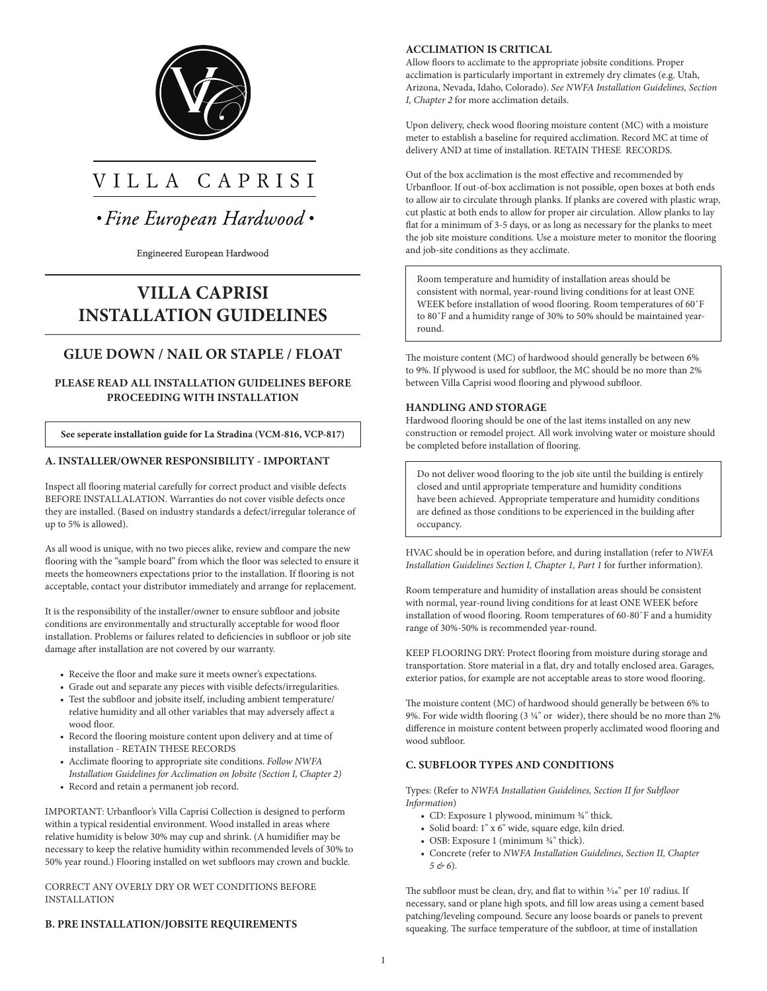

# VILLA CAPRISI

• Fine European Hardwood •

#### Engineered European Hardwood

## **VILLA CAPRISI INSTALLATION GUIDELINES**

### **GLUE DOWN / NAIL OR STAPLE / FLOAT**

#### **PLEASE READ ALL INSTALLATION GUIDELINES BEFORE PROCEEDING WITH INSTALLATION**

**See seperate installation guide for La Stradina (VCM-816, VCP-817)**

#### **A. INSTALLER/OWNER RESPONSIBILITY - IMPORTANT**

Inspect all flooring material carefully for correct product and visible defects BEFORE INSTALLALATION. Warranties do not cover visible defects once they are installed. (Based on industry standards a defect/irregular tolerance of up to 5% is allowed).

As all wood is unique, with no two pieces alike, review and compare the new flooring with the "sample board" from which the floor was selected to ensure it meets the homeowners expectations prior to the installation. If flooring is not acceptable, contact your distributor immediately and arrange for replacement.

It is the responsibility of the installer/owner to ensure subfloor and jobsite conditions are environmentally and structurally acceptable for wood floor installation. Problems or failures related to deficiencies in subfloor or job site damage after installation are not covered by our warranty.

- Receive the floor and make sure it meets owner's expectations.
- Grade out and separate any pieces with visible defects/irregularities.
- Test the subfloor and jobsite itself, including ambient temperature/ relative humidity and all other variables that may adversely affect a wood floor.
- Record the flooring moisture content upon delivery and at time of installation - RETAIN THESE RECORDS
- Acclimate flooring to appropriate site conditions. *Follow NWFA Installation Guidelines for Acclimation on Jobsite (Section I, Chapter 2)*
- Record and retain a permanent job record.

IMPORTANT: Urbanfloor's Villa Caprisi Collection is designed to perform within a typical residential environment. Wood installed in areas where relative humidity is below 30% may cup and shrink. (A humidifier may be necessary to keep the relative humidity within recommended levels of 30% to 50% year round.) Flooring installed on wet subfloors may crown and buckle.

#### CORRECT ANY OVERLY DRY OR WET CONDITIONS BEFORE INSTALLATION

#### **B. PRE INSTALLATION/JOBSITE REQUIREMENTS**

#### **ACCLIMATION IS CRITICAL**

Allow floors to acclimate to the appropriate jobsite conditions. Proper acclimation is particularly important in extremely dry climates (e.g. Utah, Arizona, Nevada, Idaho, Colorado). *See NWFA Installation Guidelines, Section I, Chapter 2* for more acclimation details.

Upon delivery, check wood flooring moisture content (MC) with a moisture meter to establish a baseline for required acclimation. Record MC at time of delivery AND at time of installation. RETAIN THESE RECORDS.

Out of the box acclimation is the most effective and recommended by Urbanfloor. If out-of-box acclimation is not possible, open boxes at both ends to allow air to circulate through planks. If planks are covered with plastic wrap, cut plastic at both ends to allow for proper air circulation. Allow planks to lay flat for a minimum of 3-5 days, or as long as necessary for the planks to meet the job site moisture conditions. Use a moisture meter to monitor the flooring and job-site conditions as they acclimate.

Room temperature and humidity of installation areas should be consistent with normal, year-round living conditions for at least ONE WEEK before installation of wood flooring. Room temperatures of 60˚F to 80˚F and a humidity range of 30% to 50% should be maintained yearround.

The moisture content (MC) of hardwood should generally be between 6% to 9%. If plywood is used for subfloor, the MC should be no more than 2% between Villa Caprisi wood flooring and plywood subfloor.

#### **HANDLING AND STORAGE**

Hardwood flooring should be one of the last items installed on any new construction or remodel project. All work involving water or moisture should be completed before installation of flooring.

Do not deliver wood flooring to the job site until the building is entirely closed and until appropriate temperature and humidity conditions have been achieved. Appropriate temperature and humidity conditions are defined as those conditions to be experienced in the building after occupancy.

HVAC should be in operation before, and during installation (refer to *NWFA Installation Guidelines Section I, Chapter 1, Part 1* for further information).

Room temperature and humidity of installation areas should be consistent with normal, year-round living conditions for at least ONE WEEK before installation of wood flooring. Room temperatures of 60-80˚F and a humidity range of 30%-50% is recommended year-round.

KEEP FLOORING DRY: Protect flooring from moisture during storage and transportation. Store material in a flat, dry and totally enclosed area. Garages, exterior patios, for example are not acceptable areas to store wood flooring.

The moisture content (MC) of hardwood should generally be between 6% to 9%. For wide width flooring (3  $\frac{1}{4}$ " or wider), there should be no more than 2% difference in moisture content between properly acclimated wood flooring and wood subfloor.

#### **C. SUBFLOOR TYPES AND CONDITIONS**

Types: (Refer to *NWFA Installation Guidelines, Section II for Subfloor Information*)

- CD: Exposure 1 plywood, minimum  $\frac{3}{4}$ " thick.
- Solid board: 1" x 6" wide, square edge, kiln dried.
- OSB: Exposure 1 (minimum  $\frac{3}{4}$ " thick).
- Concrete (refer to *NWFA Installation Guidelines, Section II, Chapter 5 & 6*).

The subfloor must be clean, dry, and flat to within  $\frac{3}{16}$ " per 10' radius. If necessary, sand or plane high spots, and fill low areas using a cement based patching/leveling compound. Secure any loose boards or panels to prevent squeaking. The surface temperature of the subfloor, at time of installation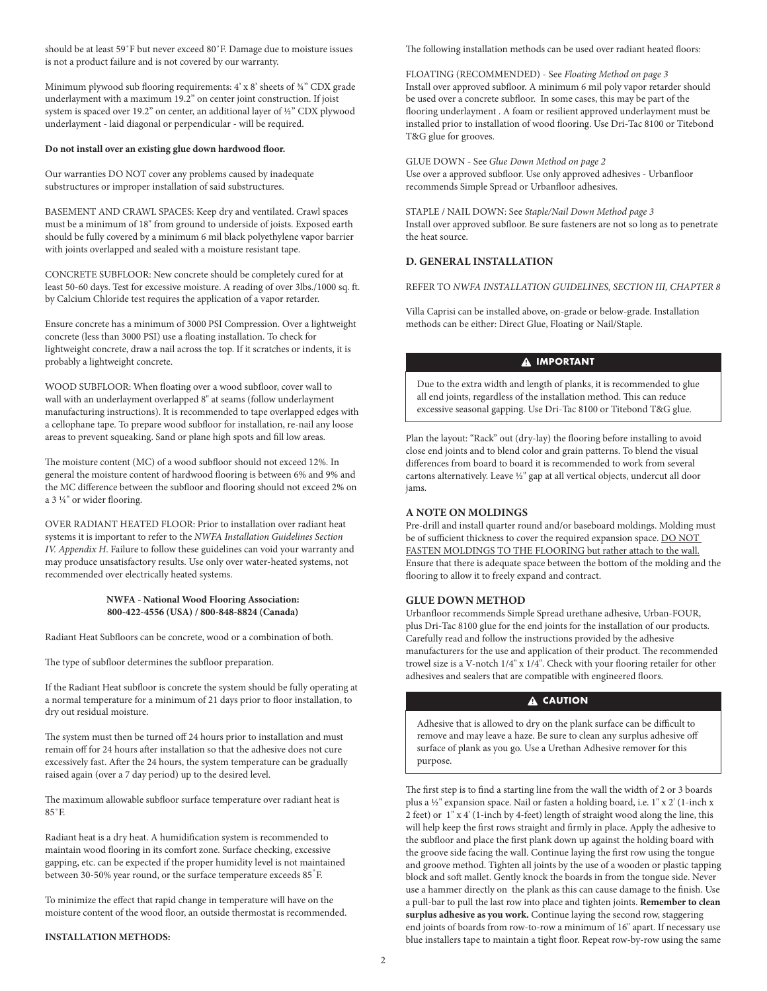should be at least 59˚F but never exceed 80˚F. Damage due to moisture issues is not a product failure and is not covered by our warranty.

Minimum plywood sub flooring requirements: 4' x 8' sheets of ¾" CDX grade underlayment with a maximum 19.2" on center joint construction. If joist system is spaced over 19.2" on center, an additional layer of ½" CDX plywood underlayment - laid diagonal or perpendicular - will be required.

#### **Do not install over an existing glue down hardwood floor.**

Our warranties DO NOT cover any problems caused by inadequate substructures or improper installation of said substructures.

BASEMENT AND CRAWL SPACES: Keep dry and ventilated. Crawl spaces must be a minimum of 18" from ground to underside of joists. Exposed earth should be fully covered by a minimum 6 mil black polyethylene vapor barrier with joints overlapped and sealed with a moisture resistant tape.

CONCRETE SUBFLOOR: New concrete should be completely cured for at least 50-60 days. Test for excessive moisture. A reading of over 3lbs./1000 sq. ft. by Calcium Chloride test requires the application of a vapor retarder.

Ensure concrete has a minimum of 3000 PSI Compression. Over a lightweight concrete (less than 3000 PSI) use a floating installation. To check for lightweight concrete, draw a nail across the top. If it scratches or indents, it is probably a lightweight concrete.

WOOD SUBFLOOR: When floating over a wood subfloor, cover wall to wall with an underlayment overlapped 8" at seams (follow underlayment manufacturing instructions). It is recommended to tape overlapped edges with a cellophane tape. To prepare wood subfloor for installation, re-nail any loose areas to prevent squeaking. Sand or plane high spots and fill low areas.

The moisture content (MC) of a wood subfloor should not exceed 12%. In general the moisture content of hardwood flooring is between 6% and 9% and the MC difference between the subfloor and flooring should not exceed 2% on a 3 1/4" or wider flooring.

OVER RADIANT HEATED FLOOR: Prior to installation over radiant heat systems it is important to refer to the *NWFA Installation Guidelines Section IV. Appendix H*. Failure to follow these guidelines can void your warranty and may produce unsatisfactory results. Use only over water-heated systems, not recommended over electrically heated systems.

#### **NWFA - National Wood Flooring Association: 800-422-4556 (USA) / 800-848-8824 (Canada)**

Radiant Heat Subfloors can be concrete, wood or a combination of both.

The type of subfloor determines the subfloor preparation.

If the Radiant Heat subfloor is concrete the system should be fully operating at a normal temperature for a minimum of 21 days prior to floor installation, to dry out residual moisture.

The system must then be turned off 24 hours prior to installation and must remain off for 24 hours after installation so that the adhesive does not cure excessively fast. After the 24 hours, the system temperature can be gradually raised again (over a 7 day period) up to the desired level.

The maximum allowable subfloor surface temperature over radiant heat is 85˚F.

Radiant heat is a dry heat. A humidification system is recommended to maintain wood flooring in its comfort zone. Surface checking, excessive gapping, etc. can be expected if the proper humidity level is not maintained between 30-50% year round, or the surface temperature exceeds 85°F.

To minimize the effect that rapid change in temperature will have on the moisture content of the wood floor, an outside thermostat is recommended.

#### **INSTALLATION METHODS:**

The following installation methods can be used over radiant heated floors:

FLOATING (RECOMMENDED) - See *Floating Method on page 3* Install over approved subfloor. A minimum 6 mil poly vapor retarder should be used over a concrete subfloor. In some cases, this may be part of the flooring underlayment . A foam or resilient approved underlayment must be installed prior to installation of wood flooring. Use Dri-Tac 8100 or Titebond T&G glue for grooves.

GLUE DOWN - See *Glue Down Method on page 2* Use over a approved subfloor. Use only approved adhesives - Urbanfloor recommends Simple Spread or Urbanfloor adhesives.

STAPLE / NAIL DOWN: See *Staple/Nail Down Method page 3* Install over approved subfloor. Be sure fasteners are not so long as to penetrate the heat source.

#### **D. GENERAL INSTALLATION**

REFER TO *NWFA INSTALLATION GUIDELINES, SECTION III, CHAPTER 8*

Villa Caprisi can be installed above, on-grade or below-grade. Installation methods can be either: Direct Glue, Floating or Nail/Staple.

#### **A** IMPORTANT

Due to the extra width and length of planks, it is recommended to glue all end joints, regardless of the installation method. This can reduce excessive seasonal gapping. Use Dri-Tac 8100 or Titebond T&G glue.

Plan the layout: "Rack" out (dry-lay) the flooring before installing to avoid close end joints and to blend color and grain patterns. To blend the visual differences from board to board it is recommended to work from several cartons alternatively. Leave 1/2" gap at all vertical objects, undercut all door jams.

#### **A NOTE ON MOLDINGS**

Pre-drill and install quarter round and/or baseboard moldings. Molding must be of sufficient thickness to cover the required expansion space. DO NOT FASTEN MOLDINGS TO THE FLOORING but rather attach to the wall. Ensure that there is adequate space between the bottom of the molding and the flooring to allow it to freely expand and contract.

#### **GLUE DOWN METHOD**

Urbanfloor recommends Simple Spread urethane adhesive, Urban-FOUR, plus Dri-Tac 8100 glue for the end joints for the installation of our products. Carefully read and follow the instructions provided by the adhesive manufacturers for the use and application of their product. The recommended trowel size is a V-notch 1/4" x 1/4". Check with your flooring retailer for other adhesives and sealers that are compatible with engineered floors.

#### **A CAUTION**

Adhesive that is allowed to dry on the plank surface can be difficult to remove and may leave a haze. Be sure to clean any surplus adhesive off surface of plank as you go. Use a Urethan Adhesive remover for this purpose.

The first step is to find a starting line from the wall the width of 2 or 3 boards plus a 1/2" expansion space. Nail or fasten a holding board, i.e. 1" x 2' (1-inch x 2 feet) or 1" x 4' (1-inch by 4-feet) length of straight wood along the line, this will help keep the first rows straight and firmly in place. Apply the adhesive to the subfloor and place the first plank down up against the holding board with the groove side facing the wall. Continue laying the first row using the tongue and groove method. Tighten all joints by the use of a wooden or plastic tapping block and soft mallet. Gently knock the boards in from the tongue side. Never use a hammer directly on the plank as this can cause damage to the finish. Use a pull-bar to pull the last row into place and tighten joints. **Remember to clean surplus adhesive as you work.** Continue laying the second row, staggering end joints of boards from row-to-row a minimum of 16" apart. If necessary use blue installers tape to maintain a tight floor. Repeat row-by-row using the same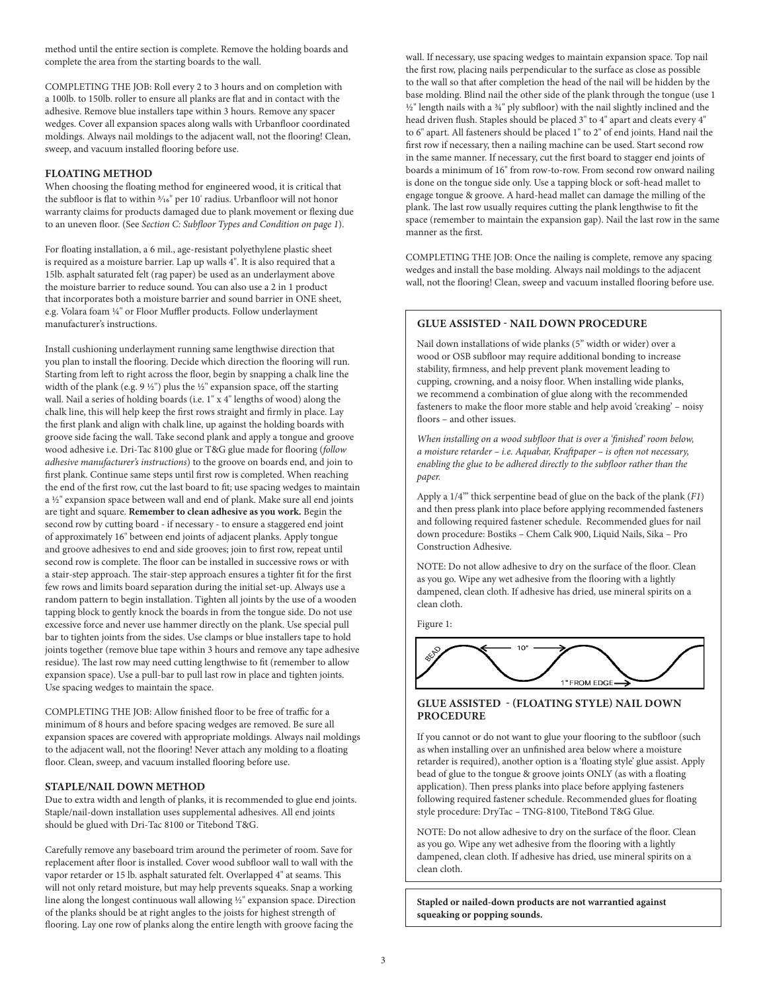method until the entire section is complete. Remove the holding boards and complete the area from the starting boards to the wall.

COMPLETING THE JOB: Roll every 2 to 3 hours and on completion with a 100lb. to 150lb. roller to ensure all planks are flat and in contact with the adhesive. Remove blue installers tape within 3 hours. Remove any spacer wedges. Cover all expansion spaces along walls with Urbanfloor coordinated moldings. Always nail moldings to the adjacent wall, not the flooring! Clean, sweep, and vacuum installed flooring before use.

#### **FLOATING METHOD**

When choosing the floating method for engineered wood, it is critical that the subfloor is flat to within  $\frac{3}{16}$ " per 10' radius. Urbanfloor will not honor warranty claims for products damaged due to plank movement or flexing due to an uneven floor. (See *Section C: Subfloor Types and Condition on page 1*).

For floating installation, a 6 mil., age-resistant polyethylene plastic sheet is required as a moisture barrier. Lap up walls 4". It is also required that a 15lb. asphalt saturated felt (rag paper) be used as an underlayment above the moisture barrier to reduce sound. You can also use a 2 in 1 product that incorporates both a moisture barrier and sound barrier in ONE sheet, e.g. Volara foam 1/4" or Floor Muffler products. Follow underlayment manufacturer's instructions.

Install cushioning underlayment running same lengthwise direction that you plan to install the flooring. Decide which direction the flooring will run. Starting from left to right across the floor, begin by snapping a chalk line the width of the plank (e.g.  $9\frac{1}{2}$ ") plus the 1/2" expansion space, off the starting wall. Nail a series of holding boards (i.e. 1" x 4" lengths of wood) along the chalk line, this will help keep the first rows straight and firmly in place. Lay the first plank and align with chalk line, up against the holding boards with groove side facing the wall. Take second plank and apply a tongue and groove wood adhesive i.e. Dri-Tac 8100 glue or T&G glue made for flooring (*follow adhesive manufacturer's instructions*) to the groove on boards end, and join to first plank. Continue same steps until first row is completed. When reaching the end of the first row, cut the last board to fit; use spacing wedges to maintain a 1/2" expansion space between wall and end of plank. Make sure all end joints are tight and square. **Remember to clean adhesive as you work.** Begin the second row by cutting board - if necessary - to ensure a staggered end joint of approximately 16" between end joints of adjacent planks. Apply tongue and groove adhesives to end and side grooves; join to first row, repeat until second row is complete. The floor can be installed in successive rows or with a stair-step approach. The stair-step approach ensures a tighter fit for the first few rows and limits board separation during the initial set-up. Always use a random pattern to begin installation. Tighten all joints by the use of a wooden tapping block to gently knock the boards in from the tongue side. Do not use excessive force and never use hammer directly on the plank. Use special pull bar to tighten joints from the sides. Use clamps or blue installers tape to hold joints together (remove blue tape within 3 hours and remove any tape adhesive residue). The last row may need cutting lengthwise to fit (remember to allow expansion space). Use a pull-bar to pull last row in place and tighten joints. Use spacing wedges to maintain the space.

COMPLETING THE JOB: Allow finished floor to be free of traffic for a minimum of 8 hours and before spacing wedges are removed. Be sure all expansion spaces are covered with appropriate moldings. Always nail moldings to the adjacent wall, not the flooring! Never attach any molding to a floating floor. Clean, sweep, and vacuum installed flooring before use.

#### **STAPLE/NAIL DOWN METHOD**

Due to extra width and length of planks, it is recommended to glue end joints. Staple/nail-down installation uses supplemental adhesives. All end joints should be glued with Dri-Tac 8100 or Titebond T&G.

Carefully remove any baseboard trim around the perimeter of room. Save for replacement after floor is installed. Cover wood subfloor wall to wall with the vapor retarder or 15 lb. asphalt saturated felt. Overlapped 4" at seams. This will not only retard moisture, but may help prevents squeaks. Snap a working line along the longest continuous wall allowing <sup>1/2</sup>" expansion space. Direction of the planks should be at right angles to the joists for highest strength of flooring. Lay one row of planks along the entire length with groove facing the

wall. If necessary, use spacing wedges to maintain expansion space. Top nail the first row, placing nails perpendicular to the surface as close as possible to the wall so that after completion the head of the nail will be hidden by the base molding. Blind nail the other side of the plank through the tongue (use 1 <sup>1/2"</sup> length nails with a <sup>3/4"</sup> ply subfloor) with the nail slightly inclined and the head driven flush. Staples should be placed 3" to 4" apart and cleats every 4" to 6" apart. All fasteners should be placed 1" to 2" of end joints. Hand nail the first row if necessary, then a nailing machine can be used. Start second row in the same manner. If necessary, cut the first board to stagger end joints of boards a minimum of 16" from row-to-row. From second row onward nailing is done on the tongue side only. Use a tapping block or soft-head mallet to engage tongue & groove. A hard-head mallet can damage the milling of the plank. The last row usually requires cutting the plank lengthwise to fit the space (remember to maintain the expansion gap). Nail the last row in the same manner as the first.

COMPLETING THE JOB: Once the nailing is complete, remove any spacing wedges and install the base molding. Always nail moldings to the adjacent wall, not the flooring! Clean, sweep and vacuum installed flooring before use.

#### **GLUE ASSISTED - NAIL DOWN PROCEDURE**

Nail down installations of wide planks (5" width or wider) over a wood or OSB subfloor may require additional bonding to increase stability, firmness, and help prevent plank movement leading to cupping, crowning, and a noisy floor. When installing wide planks, we recommend a combination of glue along with the recommended fasteners to make the floor more stable and help avoid 'creaking' – noisy floors – and other issues.

*When installing on a wood subfloor that is over a 'finished' room below, a moisture retarder – i.e. Aquabar, Kraftpaper – is often not necessary, enabling the glue to be adhered directly to the subfloor rather than the paper.* 

Apply a 1/4'" thick serpentine bead of glue on the back of the plank (*F1*) and then press plank into place before applying recommended fasteners and following required fastener schedule. Recommended glues for nail down procedure: Bostiks – Chem Calk 900, Liquid Nails, Sika – Pro Construction Adhesive.

NOTE: Do not allow adhesive to dry on the surface of the floor. Clean as you go. Wipe any wet adhesive from the flooring with a lightly dampened, clean cloth. If adhesive has dried, use mineral spirits on a clean cloth.

Figure 1:



#### **GLUE ASSISTED - (FLOATING STYLE) NAIL DOWN PROCEDURE**

If you cannot or do not want to glue your flooring to the subfloor (such as when installing over an unfinished area below where a moisture retarder is required), another option is a 'floating style' glue assist. Apply bead of glue to the tongue & groove joints ONLY (as with a floating application). Then press planks into place before applying fasteners following required fastener schedule. Recommended glues for floating style procedure: DryTac – TNG-8100, TiteBond T&G Glue.

NOTE: Do not allow adhesive to dry on the surface of the floor. Clean as you go. Wipe any wet adhesive from the flooring with a lightly dampened, clean cloth. If adhesive has dried, use mineral spirits on a clean cloth.

**Stapled or nailed-down products are not warrantied against squeaking or popping sounds.**